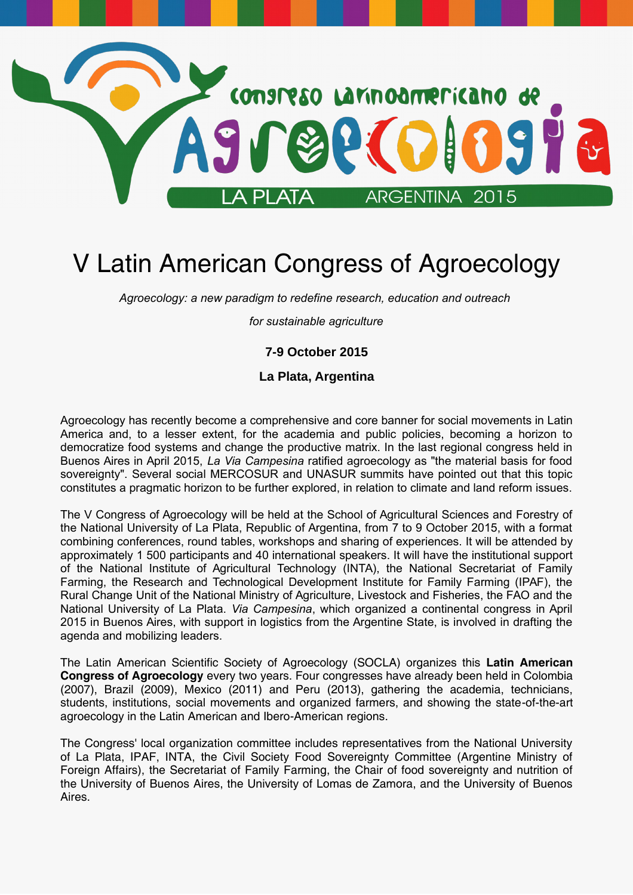

# V Latin American Congress of Agroecology

*Agroecology: a new paradigm to redefine research, education and outreach* 

*for sustainable agriculture*

#### **7-9 October 2015**

**La Plata, Argentina**

Agroecology has recently become a comprehensive and core banner for social movements in Latin America and, to a lesser extent, for the academia and public policies, becoming a horizon to democratize food systems and change the productive matrix. In the last regional congress held in Buenos Aires in April 2015, *La Via Campesina* ratified agroecology as "the material basis for food sovereignty". Several social MERCOSUR and UNASUR summits have pointed out that this topic constitutes a pragmatic horizon to be further explored, in relation to climate and land reform issues.

The V Congress of Agroecology will be held at the School of Agricultural Sciences and Forestry of the National University of La Plata, Republic of Argentina, from 7 to 9 October 2015, with a format combining conferences, round tables, workshops and sharing of experiences. It will be attended by approximately 1 500 participants and 40 international speakers. It will have the institutional support of the National Institute of Agricultural Technology (INTA), the National Secretariat of Family Farming, the Research and Technological Development Institute for Family Farming (IPAF), the Rural Change Unit of the National Ministry of Agriculture, Livestock and Fisheries, the FAO and the National University of La Plata. *Via Campesina*, which organized a continental congress in April 2015 in Buenos Aires, with support in logistics from the Argentine State, is involved in drafting the agenda and mobilizing leaders.

The Latin American Scientific Society of Agroecology (SOCLA) organizes this **Latin American Congress of Agroecology** every two years. Four congresses have already been held in Colombia (2007), Brazil (2009), Mexico (2011) and Peru (2013), gathering the academia, technicians, students, institutions, social movements and organized farmers, and showing the state-of-the-art agroecology in the Latin American and Ibero-American regions.

The Congress' local organization committee includes representatives from the National University of La Plata, IPAF, INTA, the Civil Society Food Sovereignty Committee (Argentine Ministry of Foreign Affairs), the Secretariat of Family Farming, the Chair of food sovereignty and nutrition of the University of Buenos Aires, the University of Lomas de Zamora, and the University of Buenos Aires.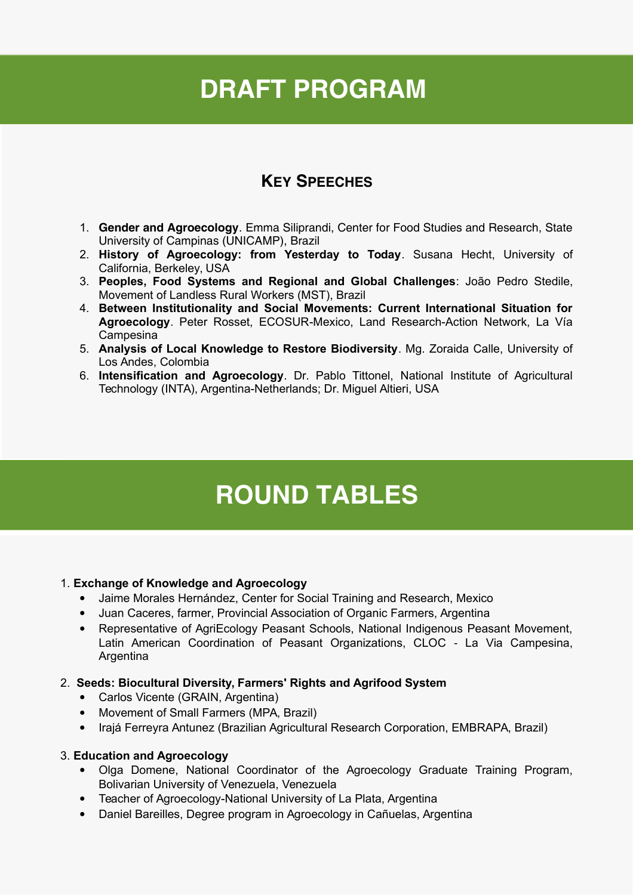# **DRAFT PROGRAM**

# **KEY SPEECHES**

- 1. **Gender and Agroecology**. Emma Siliprandi, Center for Food Studies and Research, State University of Campinas (UNICAMP), Brazil
- 2. **History of Agroecology: from Yesterday to Today**. Susana Hecht, University of California, Berkeley, USA
- 3. **Peoples, Food Systems and Regional and Global Challenges**: João Pedro Stedile, Movement of Landless Rural Workers (MST), Brazil
- 4. **Between Institutionality and Social Movements: Current International Situation for Agroecology**. Peter Rosset, ECOSUR-Mexico, Land Research-Action Network, La Vía Campesina
- 5. **Analysis of Local Knowledge to Restore Biodiversity**. Mg. Zoraida Calle, University of Los Andes, Colombia
- 6. **Intensification and Agroecology**. Dr. Pablo Tittonel, National Institute of Agricultural Technology (INTA), Argentina-Netherlands; Dr. Miguel Altieri, USA

# **ROUND TABLES**

#### 1. **Exchange of Knowledge and Agroecology**

- Jaime Morales Hernández, Center for Social Training and Research, Mexico
- Juan Caceres, farmer, Provincial Association of Organic Farmers, Argentina
- Representative of AgriEcology Peasant Schools, National Indigenous Peasant Movement, Latin American Coordination of Peasant Organizations, CLOC - La Via Campesina, Argentina

#### 2. **Seeds: Biocultural Diversity, Farmers' Rights and Agrifood System**

- Carlos Vicente (GRAIN, Argentina)
- Movement of Small Farmers (MPA, Brazil)
- Irajá Ferreyra Antunez (Brazilian Agricultural Research Corporation, EMBRAPA, Brazil)

#### 3. **Education and Agroecology**

- Olga Domene, National Coordinator of the Agroecology Graduate Training Program, Bolivarian University of Venezuela, Venezuela
- Teacher of Agroecology-National University of La Plata, Argentina
- Daniel Bareilles, Degree program in Agroecology in Cañuelas, Argentina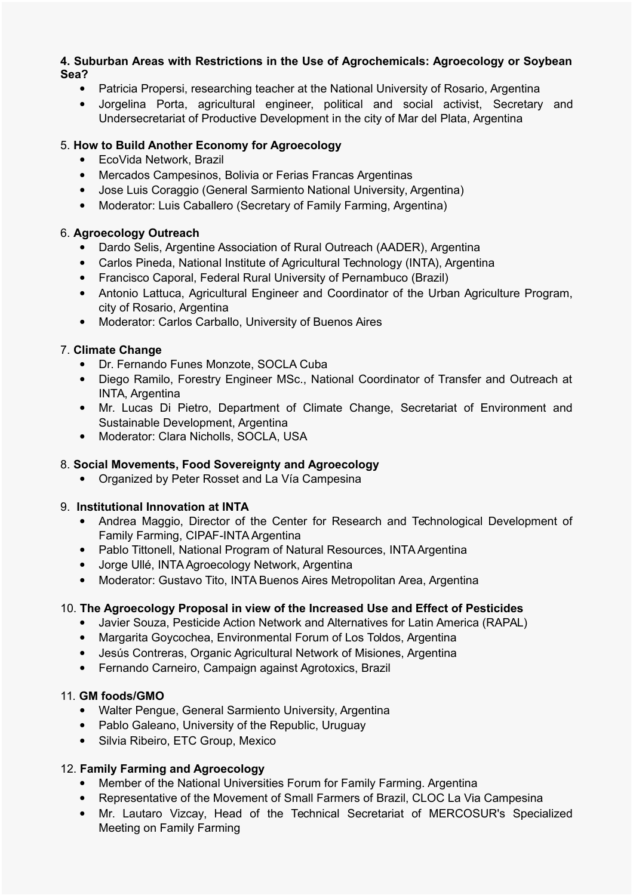#### **4. Suburban Areas with Restrictions in the Use of Agrochemicals: Agroecology or Soybean Sea?**

- Patricia Propersi, researching teacher at the National University of Rosario, Argentina
- Jorgelina Porta, agricultural engineer, political and social activist, Secretary and Undersecretariat of Productive Development in the city of Mar del Plata, Argentina

#### 5. **How to Build Another Economy for Agroecology**

- EcoVida Network, Brazil
- Mercados Campesinos, Bolivia or Ferias Francas Argentinas
- Jose Luis Coraggio (General Sarmiento National University, Argentina)
- Moderator: Luis Caballero (Secretary of Family Farming, Argentina)

#### 6. **Agroecology Outreach**

- Dardo Selis, Argentine Association of Rural Outreach (AADER), Argentina
- Carlos Pineda, National Institute of Agricultural Technology (INTA), Argentina
- Francisco Caporal, Federal Rural University of Pernambuco (Brazil)
- Antonio Lattuca, Agricultural Engineer and Coordinator of the Urban Agriculture Program, city of Rosario, Argentina
- Moderator: Carlos Carballo, University of Buenos Aires

#### 7. **Climate Change**

- Dr. Fernando Funes Monzote, SOCLA Cuba
- Diego Ramilo, Forestry Engineer MSc., National Coordinator of Transfer and Outreach at INTA, Argentina
- Mr. Lucas Di Pietro, Department of Climate Change, Secretariat of Environment and Sustainable Development, Argentina
- Moderator: Clara Nicholls, SOCLA, USA

#### 8. **Social Movements, Food Sovereignty and Agroecology**

Organized by Peter Rosset and La Vía Campesina

#### 9. **Institutional Innovation at INTA**

- Andrea Maggio, Director of the Center for Research and Technological Development of Family Farming, CIPAF-INTA Argentina
- Pablo Tittonell, National Program of Natural Resources, INTA Argentina
- Jorge Ullé, INTA Agroecology Network, Argentina
- Moderator: Gustavo Tito, INTA Buenos Aires Metropolitan Area, Argentina

#### 10. **The Agroecology Proposal in view of the Increased Use and Effect of Pesticides**

- Javier Souza, Pesticide Action Network and Alternatives for Latin America (RAPAL)
- Margarita Goycochea, Environmental Forum of Los Toldos, Argentina
- Jesús Contreras, Organic Agricultural Network of Misiones, Argentina
- Fernando Carneiro, Campaign against Agrotoxics, Brazil

#### 11. **GM foods/GMO**

- Walter Pengue, General Sarmiento University, Argentina
- Pablo Galeano, University of the Republic, Uruguay
- Silvia Ribeiro, ETC Group, Mexico

#### 12. **Family Farming and Agroecology**

- Member of the National Universities Forum for Family Farming. Argentina
- Representative of the Movement of Small Farmers of Brazil, CLOC La Via Campesina
- Mr. Lautaro Vizcay, Head of the Technical Secretariat of MERCOSUR's Specialized Meeting on Family Farming